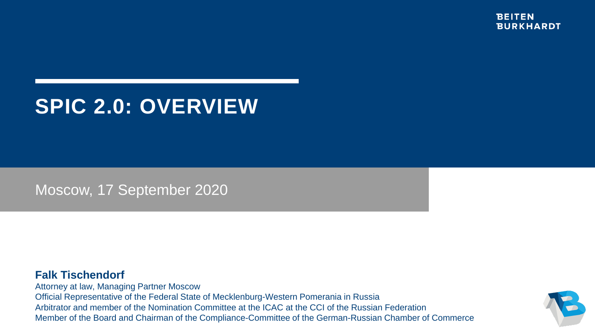# **SPIC 2.0: OVERVIEW**

Moscow, 17 September 2020

## **Falk Tischendorf**

Attorney at law, Managing Partner Moscow Official Representative of the Federal State of Mecklenburg-Western Pomerania in Russia Arbitrator and member of the Nomination Committee at the ICAC at the CCI of the Russian Federation Member of the Board and Chairman of the Compliance-Committee of the German-Russian Chamber of Commerce

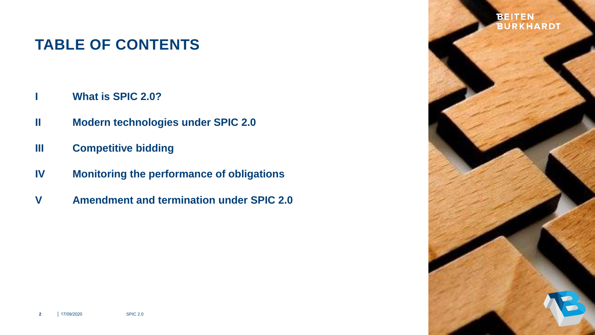# **TABLE OF CONTENTS**

- **I What is SPIC 2.0?**
- **II Modern technologies under SPIC 2.0**
- **III Competitive bidding**
- **IV Monitoring the performance of obligations**
- **Amendment and termination under SPIC 2.0 V**

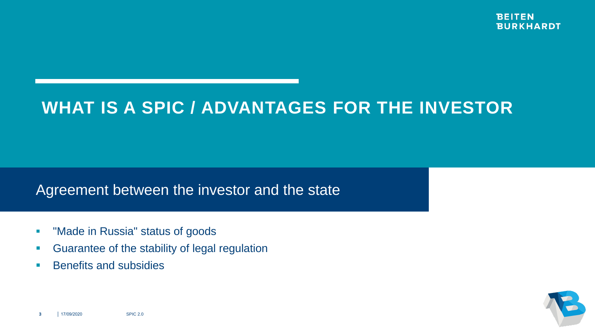# **WHAT IS A SPIC / ADVANTAGES FOR THE INVESTOR**

## Agreement between the investor and the state

- **"** "Made in Russia" status of goods
- **Guarantee of the stability of legal regulation**
- **Benefits and subsidies**

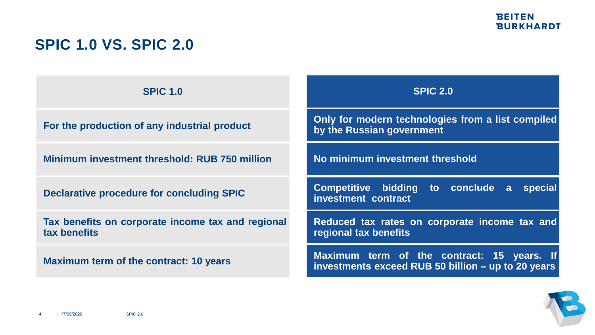# **SPIC 1.0 VS. SPIC 2.0**

**SPIC 1.0** 

**For the production of any industrial product**

**Minimum investment threshold: RUB 750 million**

**Declarative procedure for concluding SPIC**

**Tax benefits on corporate income tax and regional tax benefits**

**Maximum term of the contract: 10 years**

**SPIC 2.0** 

**Only for modern technologies from a list compiled by the Russian government**

**No minimum investment threshold**

**Competitive bidding to conclude a special investment contract**

**Reduced tax rates on corporate income tax and regional tax benefits**

**Maximum term of the contract: 15 years. If investments exceed RUB 50 billion – up to 20 years**

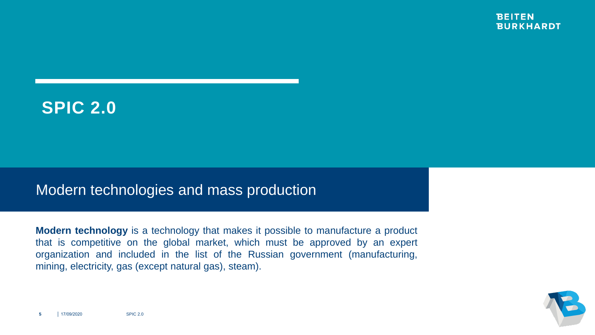# **SPIC 2.0**

## Modern technologies and mass production

**Modern technology** is a technology that makes it possible to manufacture a product that is competitive on the global market, which must be approved by an expert organization and included in the list of the Russian government (manufacturing, mining, electricity, gas (except natural gas), steam).

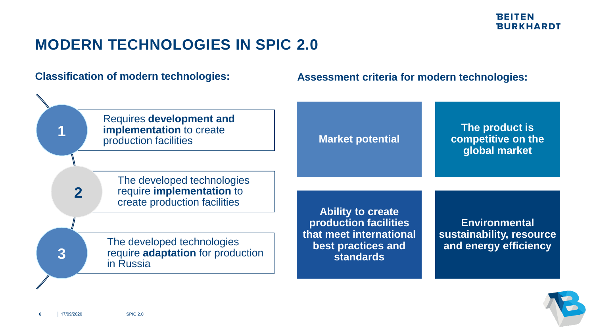# **MODERN TECHNOLOGIES IN SPIC 2.0**

## **Classification of modern technologies:**

## **Assessment criteria for modern technologies:**



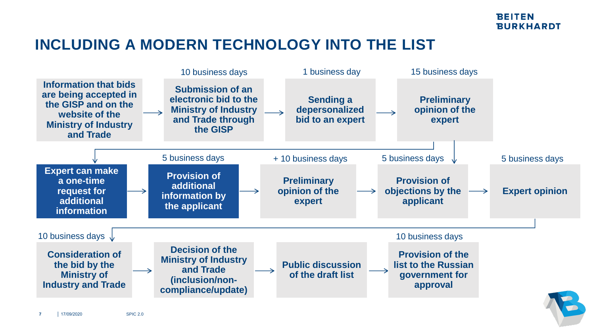# **INCLUDING A MODERN TECHNOLOGY INTO THE LIST**



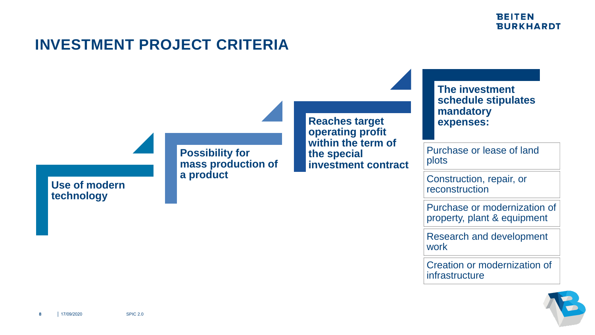# **INVESTMENT PROJECT CRITERIA**

**Possibility for mass production of a product**

**Reaches target operating profit within the term of the special investment contract**

## **The investment schedule stipulates mandatory expenses:**

Purchase or lease of land plots

Construction, repair, or reconstruction

Purchase or modernization of property, plant & equipment

Research and development work

Creation or modernization of infrastructure



**Use of modern** 

**technology**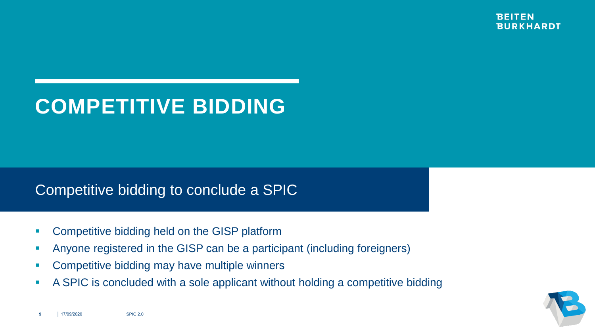

# **COMPETITIVE BIDDING**

## Competitive bidding to conclude a SPIC

- **Competitive bidding held on the GISP platform**
- Anyone registered in the GISP can be a participant (including foreigners)
- **Competitive bidding may have multiple winners**
- A SPIC is concluded with a sole applicant without holding a competitive bidding

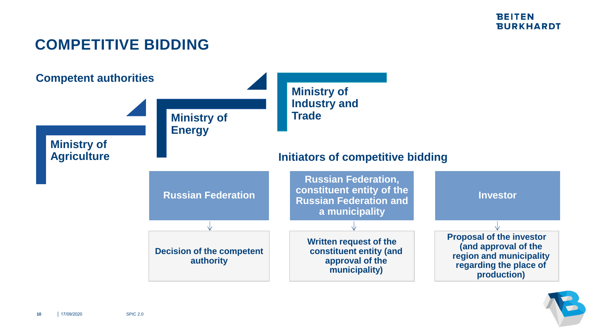# **COMPETITIVE BIDDING**



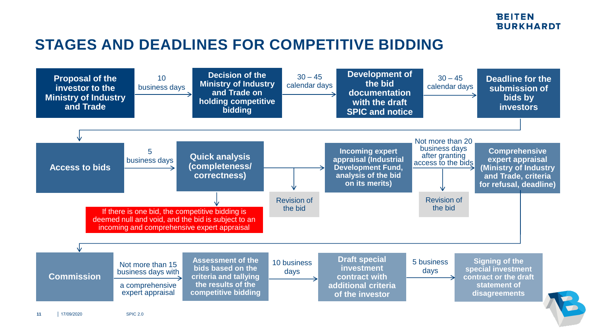# **STAGES AND DEADLINES FOR COMPETITIVE BIDDING**

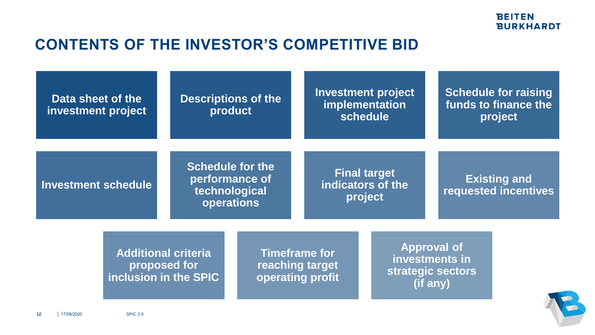# **CONTENTS OF THE INVESTOR'S COMPETITIVE BID**

| Data sheet of the<br>investment project |                                                                     | <b>Descriptions of the</b><br>product                                    |  | <b>Investment project</b><br>implementation<br>schedule     |  | <b>Schedule for raising</b><br>funds to finance the<br>project        |  |
|-----------------------------------------|---------------------------------------------------------------------|--------------------------------------------------------------------------|--|-------------------------------------------------------------|--|-----------------------------------------------------------------------|--|
| <b>Investment schedule</b>              |                                                                     | <b>Schedule for the</b><br>performance of<br>technological<br>operations |  | <b>Final target</b><br>indicators of the<br>project         |  | <b>Existing and</b><br>requested incentives                           |  |
|                                         | <b>Additional criteria</b><br>proposed for<br>inclusion in the SPIC |                                                                          |  | <b>Timeframe for</b><br>reaching target<br>operating profit |  | <b>Approval of</b><br>investments in<br>strategic sectors<br>(if any) |  |

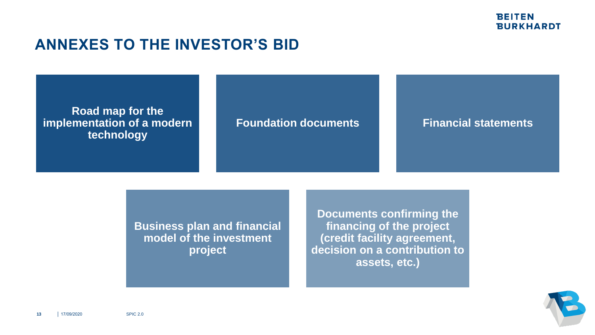## **ANNEXES TO THE INVESTOR'S BID**

## **Road map for the implementation of a modern technology**

## **Foundation documents Financial statements**

**Business plan and financial model of the investment project**

**Documents confirming the financing of the project (credit facility agreement, decision on a contribution to assets, etc.)**

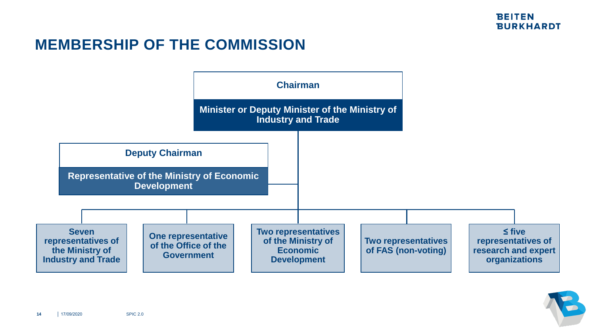# **MEMBERSHIP OF THE COMMISSION**



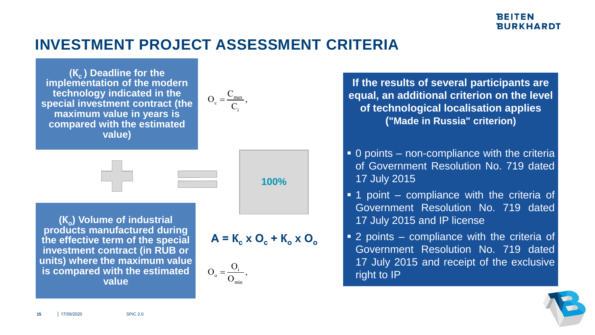## **INVESTMENT PROJECT ASSESSMENT CRITERIA**

**(Кс ) Deadline for the implementation of the modern technology indicated in the special investment contract (the maximum value in years is compared with the estimated value)**





**(К<sup>о</sup> ) Volume of industrial products manufactured during the effective term of the special investment contract (in RUB or units) where the maximum value is compared with the estimated value**

$$
A = K_c \times O_c + K_o \times O_o
$$



**If the results of several participants are equal, an additional criterion on the level of technological localisation applies ("Made in Russia" criterion)** T ASSESSMENT CRITERIA<br>  $O_c = \frac{C_{max}}{C_i}$ ,<br>
If the results<br>
equal, an add<br>
of technolo<br>
("Made

- 0 points non-compliance with the criteria of Government Resolution No. 719 dated 17 July 2015
- **1** point compliance with the criteria of Government Resolution No. 719 dated 17 July 2015 and IP license
- 2 points compliance with the criteria of Government Resolution No. 719 dated 17 July 2015 and receipt of the exclusive right to IP

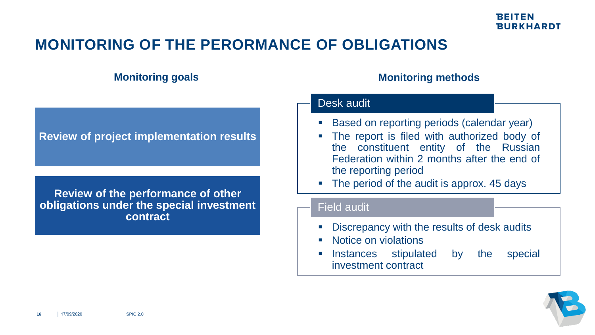# **MONITORING OF THE PERORMANCE OF OBLIGATIONS**

## **Monitoring goals Monitoring methods**

## Desk audit

**Review of project implementation results**

**Review of the performance of other obligations under the special investment contract**

- Based on reporting periods (calendar year)
- The report is filed with authorized body of the constituent entity of the Russian Federation within 2 months after the end of the reporting period
- The period of the audit is approx. 45 days

## Field audit

- Discrepancy with the results of desk audits
- Notice on violations
- Instances stipulated by the special investment contract

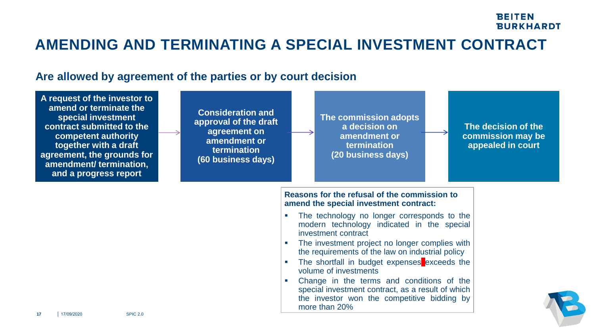## **AMENDING AND TERMINATING A SPECIAL INVESTMENT CONTRACT**

## **Are allowed by agreement of the parties or by court decision**

| A request of the investor to<br>amend or terminate the<br>special investment<br>contract submitted to the<br>competent authority<br>together with a draft<br>agreement, the grounds for<br>amendment/ termination,<br>and a progress report | <b>Consideration and</b><br>approval of the draft<br>agreement on<br>amendment or<br>termination<br>(60 business days) | The commission adopts<br>a decision on<br>The decision of the<br>amendment or<br>commission may be<br>termination<br>appealed in court<br>(20 business days)   |  |
|---------------------------------------------------------------------------------------------------------------------------------------------------------------------------------------------------------------------------------------------|------------------------------------------------------------------------------------------------------------------------|----------------------------------------------------------------------------------------------------------------------------------------------------------------|--|
|                                                                                                                                                                                                                                             |                                                                                                                        | Reasons for the refusal of the commission to<br>amend the special investment contract:                                                                         |  |
|                                                                                                                                                                                                                                             |                                                                                                                        | The technology no longer corresponds to the<br>modern technology indicated in the special<br>investment contract                                               |  |
|                                                                                                                                                                                                                                             |                                                                                                                        | The investment project no longer complies with<br>the requirements of the law on industrial policy                                                             |  |
|                                                                                                                                                                                                                                             |                                                                                                                        | The shortfall in budget expenses exceeds the<br>volume of investments                                                                                          |  |
| <b>SPIC 2.0</b><br>17/09/2020<br>17                                                                                                                                                                                                         |                                                                                                                        | Change in the terms and conditions of the<br>special investment contract, as a result of which<br>the investor won the competitive bidding by<br>more than 20% |  |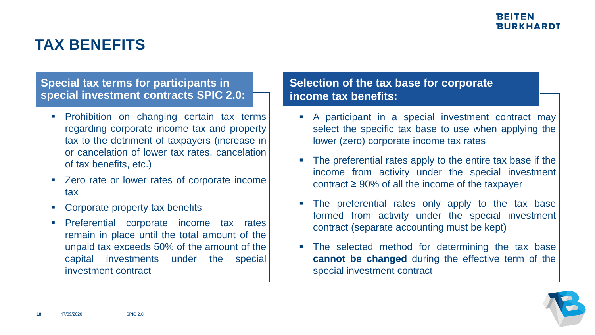# **TAX BENEFITS**

## **Special tax terms for participants in special investment contracts SPIC 2.0:**

- **Prohibition on changing certain tax terms** regarding corporate income tax and property tax to the detriment of taxpayers (increase in or cancelation of lower tax rates, cancelation of tax benefits, etc.)
- Zero rate or lower rates of corporate income tax
- Corporate property tax benefits
- **Preferential corporate income tax rates** remain in place until the total amount of the unpaid tax exceeds 50% of the amount of the capital investments under the special investment contract

## **Selection of the tax base for corporate income tax benefits:**

- A participant in a special investment contract may select the specific tax base to use when applying the lower (zero) corporate income tax rates
- The preferential rates apply to the entire tax base if the income from activity under the special investment contract  $\geq 90\%$  of all the income of the taxpayer
- The preferential rates only apply to the tax base formed from activity under the special investment contract (separate accounting must be kept)
- The selected method for determining the tax base **cannot be changed** during the effective term of the special investment contract

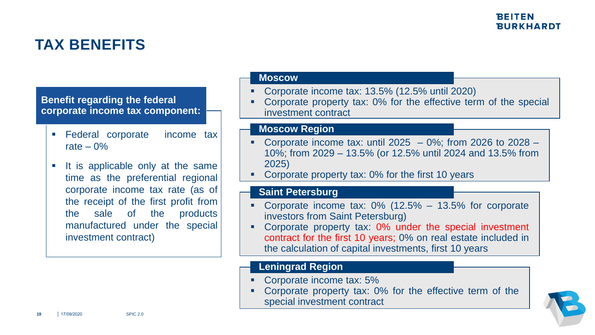# **TAX BENEFITS**

## **Benefit regarding the federal corporate income tax component:**

- **Federal corporate income tax** rate  $-0\%$
- **If is applicable only at the same** time as the preferential regional corporate income tax rate (as of the receipt of the first profit from the sale of the products manufactured under the special investment contract)

#### **Moscow**

- Corporate income tax: 13.5% (12.5% until 2020)
- Corporate property tax: 0% for the effective term of the special investment contract

## **Moscow Region**

- Corporate income tax: until 2025  $-$  0%; from 2026 to 2028  $-$ 10%; from 2029 – 13.5% (or 12.5% until 2024 and 13.5% from 2025)
- Corporate property tax: 0% for the first 10 years

## **Saint Petersburg**

- Corporate income tax: 0% (12.5% 13.5% for corporate investors from Saint Petersburg)
- Corporate property tax: 0% under the special investment contract for the first 10 years; 0% on real estate included in the calculation of capital investments, first 10 years

## **Leningrad Region**

- Corporate income tax: 5%
- Corporate property tax: 0% for the effective term of the special investment contract

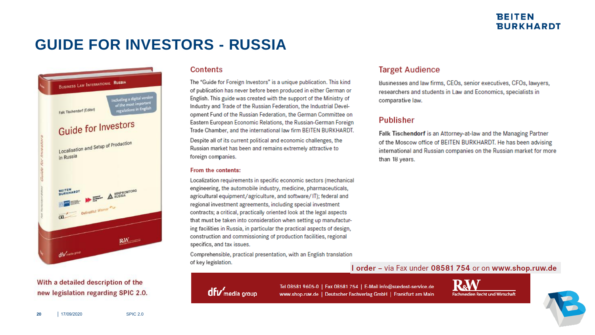# **GUIDE FOR INVESTORS - RUSSIA**



#### With a detailed description of the new legislation regarding SPIC 2.0.

#### Contents

The "Guide for Foreign Investors" is a unique publication. This kind of publication has never before been produced in either German or English. This guide was created with the support of the Ministry of Industry and Trade of the Russian Federation, the Industrial Development Fund of the Russian Federation, the German Committee on Eastern European Economic Relations, the Russian-German Foreign Trade Chamber, and the international law firm BEITEN BURKHARDT.

Despite all of its current political and economic challenges, the Russian market has been and remains extremely attractive to foreign companies.

#### From the contents:

Localization requirements in specific economic sectors (mechanical engineering, the automobile industry, medicine, pharmaceuticals, agricultural equipment/agriculture, and software/IT); federal and regional investment agreements, including special investment contracts; a critical, practically oriented look at the legal aspects that must be taken into consideration when setting up manufacturing facilities in Russia, in particular the practical aspects of design, construction and commissioning of production facilities, regional specifics, and tax issues.

Comprehensible, practical presentation, with an English translation of key legislation.

#### **Target Audience**

Businesses and law firms, CEOs, senior executives, CFOs, lawyers, researchers and students in Law and Economics, specialists in comparative law.

#### Publisher

Falk Tischendorf is an Attorney-at-law and the Managing Partner of the Moscow office of BEITEN BURKHARDT. He has been advising international and Russian companies on the Russian market for more than 18 years.

#### I order - via Fax under 08581 754 or on www.shop.ruw.de



Tel 08581 9605-0 | Fax 08581 754 | E-Mail info@suedost-service.de www.shop.ruw.de | Deutscher Fachverlag GmbH | Frankfurt am Main



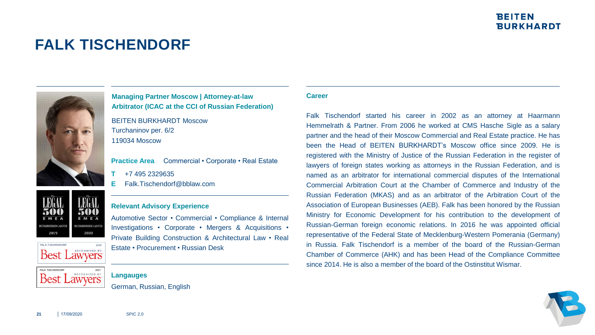# **FALK TISCHENDORF**



**Managing Partner Moscow | Attorney-at-law Arbitrator (ICAC at the CCI of Russian Federation)**

BEITEN BURKHARDT Moscow Turchaninov per. 6/2 119034 Moscow

Practice Area Commercial • Corporate • Real Estate

- **T** +7 495 2329635
- **E** Falk.Tischendorf@bblaw.com

## **Relevant Advisory Experience**

Automotive Sector • Commercial • Compliance & Internal Investigations • Corporate • Mergers & Acquisitions • Private Building Construction & Architectural Law • Real Estate • Procurement • Russian Desk

#### **Langauges**

German, Russian, English

#### **Career**

Falk Tischendorf started his career in 2002 as an attorney at Haarmann Hemmelrath & Partner. From 2006 he worked at CMS Hasche Sigle as a salary partner and the head of their Moscow Commercial and Real Estate practice. He has been the Head of BEITEN BURKHARDT's Moscow office since 2009. He is registered with the Ministry of Justice of the Russian Federation in the register of lawyers of foreign states working as attorneys in the Russian Federation, and is named as an arbitrator for international commercial disputes of the International Commercial Arbitration Court at the Chamber of Commerce and Industry of the Russian Federation (MKAS) and as an arbitrator of the Arbitration Court of the Association of European Businesses (AEB). Falk has been honored by the Russian Ministry for Economic Development for his contribution to the development of Russian-German foreign economic relations. In 2016 he was appointed official representative of the Federal State of Mecklenburg-Western Pomerania (Germany) in Russia. Falk Tischendorf is a member of the board of the Russian-German Chamber of Commerce (AHK) and has been Head of the Compliance Committee since 2014. He is also a member of the board of the Ostinstitut Wismar.



**21** │ 17/09/2020 SPIC 2.0

**Best Lawyers** 

**Best Lawyers** 

MMENDED LAWYE

2019

**FALK TISCHENDORE** 

FALK TISCHENDORF

ECOMMENDED LAWYER

2020

RECOGNIZED BY

ECOGNIZED BY